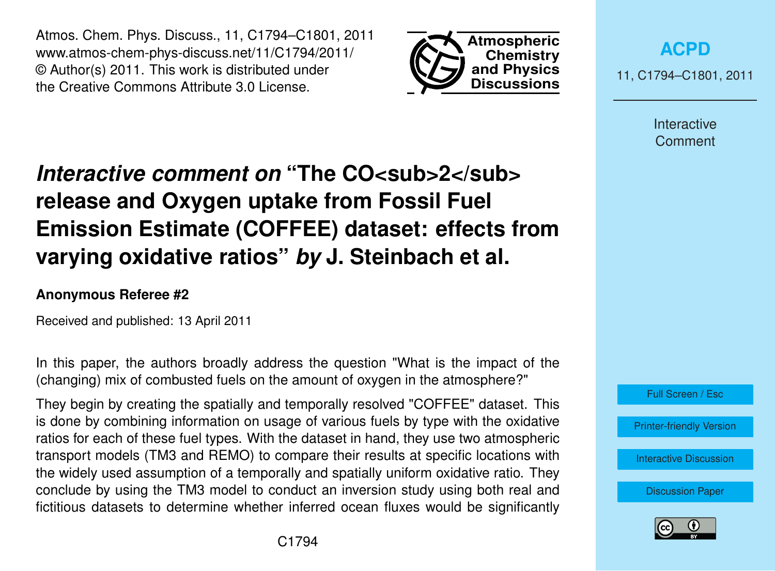Atmos. Chem. Phys. Discuss., 11, C1794–C1801, 2011 www.atmos-chem-phys-discuss.net/11/C1794/2011/ © Author(s) 2011. This work is distributed under the Creative Commons Attribute 3.0 License.



**[ACPD](http://www.atmos-chem-phys-discuss.net)**

11, C1794–C1801, 2011

Interactive **Comment** 

# *Interactive comment on* "The CO<sub>SUD</sub>>2</sub> **release and Oxygen uptake from Fossil Fuel Emission Estimate (COFFEE) dataset: effects from varying oxidative ratios"** *by* **J. Steinbach et al.**

## **Anonymous Referee #2**

Received and published: 13 April 2011

In this paper, the authors broadly address the question "What is the impact of the (changing) mix of combusted fuels on the amount of oxygen in the atmosphere?"

They begin by creating the spatially and temporally resolved "COFFEE" dataset. This is done by combining information on usage of various fuels by type with the oxidative ratios for each of these fuel types. With the dataset in hand, they use two atmospheric transport models (TM3 and REMO) to compare their results at specific locations with the widely used assumption of a temporally and spatially uniform oxidative ratio. They conclude by using the TM3 model to conduct an inversion study using both real and fictitious datasets to determine whether inferred ocean fluxes would be significantly

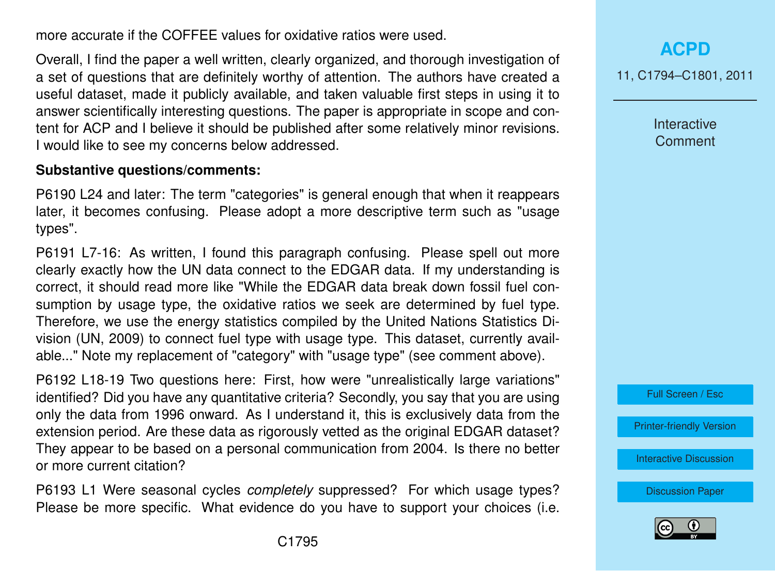more accurate if the COFFEE values for oxidative ratios were used.

Overall, I find the paper a well written, clearly organized, and thorough investigation of a set of questions that are definitely worthy of attention. The authors have created a useful dataset, made it publicly available, and taken valuable first steps in using it to answer scientifically interesting questions. The paper is appropriate in scope and content for ACP and I believe it should be published after some relatively minor revisions. I would like to see my concerns below addressed.

#### **Substantive questions/comments:**

P6190 L24 and later: The term "categories" is general enough that when it reappears later, it becomes confusing. Please adopt a more descriptive term such as "usage types".

P6191 L7-16: As written, I found this paragraph confusing. Please spell out more clearly exactly how the UN data connect to the EDGAR data. If my understanding is correct, it should read more like "While the EDGAR data break down fossil fuel consumption by usage type, the oxidative ratios we seek are determined by fuel type. Therefore, we use the energy statistics compiled by the United Nations Statistics Division (UN, 2009) to connect fuel type with usage type. This dataset, currently available..." Note my replacement of "category" with "usage type" (see comment above).

P6192 L18-19 Two questions here: First, how were "unrealistically large variations" identified? Did you have any quantitative criteria? Secondly, you say that you are using only the data from 1996 onward. As I understand it, this is exclusively data from the extension period. Are these data as rigorously vetted as the original EDGAR dataset? They appear to be based on a personal communication from 2004. Is there no better or more current citation?

P6193 L1 Were seasonal cycles *completely* suppressed? For which usage types? Please be more specific. What evidence do you have to support your choices (i.e.

**[ACPD](http://www.atmos-chem-phys-discuss.net)** 11, C1794–C1801, 2011

> **Interactive Comment**



[Printer-friendly Version](http://www.atmos-chem-phys-discuss.net/11/C1794/2011/acpd-11-C1794-2011-print.pdf)

[Interactive Discussion](http://www.atmos-chem-phys-discuss.net/11/6187/2011/acpd-11-6187-2011-discussion.html)

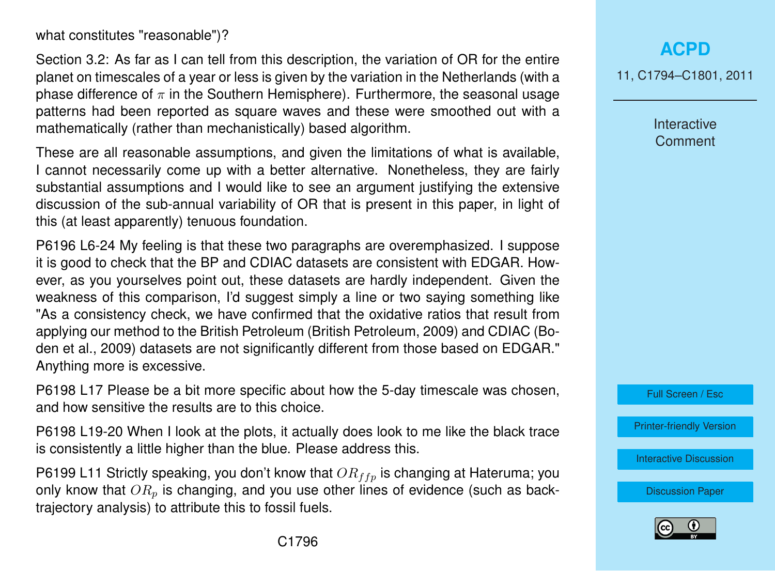what constitutes "reasonable")?

Section 3.2: As far as I can tell from this description, the variation of OR for the entire planet on timescales of a year or less is given by the variation in the Netherlands (with a phase difference of  $\pi$  in the Southern Hemisphere). Furthermore, the seasonal usage patterns had been reported as square waves and these were smoothed out with a mathematically (rather than mechanistically) based algorithm.

These are all reasonable assumptions, and given the limitations of what is available, I cannot necessarily come up with a better alternative. Nonetheless, they are fairly substantial assumptions and I would like to see an argument justifying the extensive discussion of the sub-annual variability of OR that is present in this paper, in light of this (at least apparently) tenuous foundation.

P6196 L6-24 My feeling is that these two paragraphs are overemphasized. I suppose it is good to check that the BP and CDIAC datasets are consistent with EDGAR. However, as you yourselves point out, these datasets are hardly independent. Given the weakness of this comparison, I'd suggest simply a line or two saying something like "As a consistency check, we have confirmed that the oxidative ratios that result from applying our method to the British Petroleum (British Petroleum, 2009) and CDIAC (Boden et al., 2009) datasets are not significantly different from those based on EDGAR." Anything more is excessive.

P6198 L17 Please be a bit more specific about how the 5-day timescale was chosen, and how sensitive the results are to this choice.

P6198 L19-20 When I look at the plots, it actually does look to me like the black trace is consistently a little higher than the blue. Please address this.

P6199 L11 Strictly speaking, you don't know that  $OR_{ffp}$  is changing at Hateruma; you only know that  $OR_p$  is changing, and you use other lines of evidence (such as backtrajectory analysis) to attribute this to fossil fuels.

**[ACPD](http://www.atmos-chem-phys-discuss.net)**

11, C1794–C1801, 2011

Interactive **Comment** 

Full Screen / Esc

[Printer-friendly Version](http://www.atmos-chem-phys-discuss.net/11/C1794/2011/acpd-11-C1794-2011-print.pdf)

[Interactive Discussion](http://www.atmos-chem-phys-discuss.net/11/6187/2011/acpd-11-6187-2011-discussion.html)

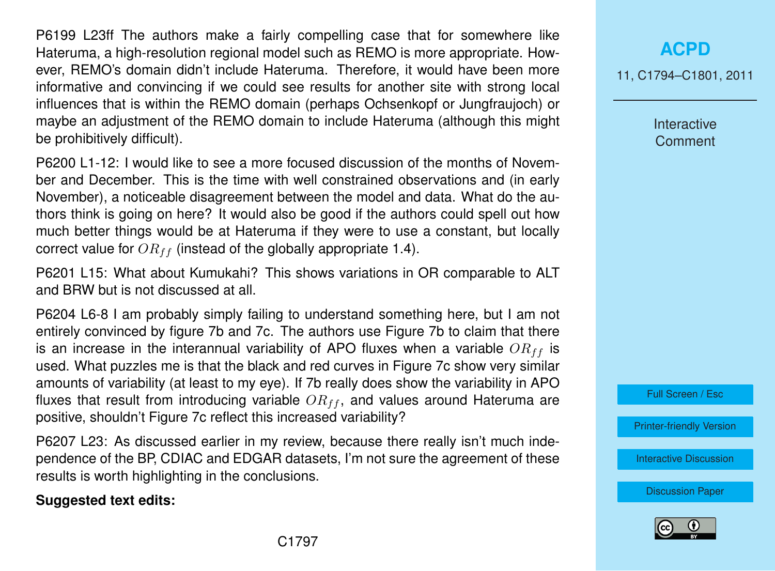P6199 L23ff The authors make a fairly compelling case that for somewhere like Hateruma, a high-resolution regional model such as REMO is more appropriate. However, REMO's domain didn't include Hateruma. Therefore, it would have been more informative and convincing if we could see results for another site with strong local influences that is within the REMO domain (perhaps Ochsenkopf or Jungfraujoch) or maybe an adjustment of the REMO domain to include Hateruma (although this might be prohibitively difficult).

P6200 L1-12: I would like to see a more focused discussion of the months of November and December. This is the time with well constrained observations and (in early November), a noticeable disagreement between the model and data. What do the authors think is going on here? It would also be good if the authors could spell out how much better things would be at Hateruma if they were to use a constant, but locally correct value for  $OR_{ff}$  (instead of the globally appropriate 1.4).

P6201 L15: What about Kumukahi? This shows variations in OR comparable to ALT and BRW but is not discussed at all.

P6204 L6-8 I am probably simply failing to understand something here, but I am not entirely convinced by figure 7b and 7c. The authors use Figure 7b to claim that there is an increase in the interannual variability of APO fluxes when a variable  $OR_{ff}$  is used. What puzzles me is that the black and red curves in Figure 7c show very similar amounts of variability (at least to my eye). If 7b really does show the variability in APO fluxes that result from introducing variable  $OR_{ff}$ , and values around Hateruma are positive, shouldn't Figure 7c reflect this increased variability?

P6207 L23: As discussed earlier in my review, because there really isn't much independence of the BP, CDIAC and EDGAR datasets, I'm not sure the agreement of these results is worth highlighting in the conclusions.

#### **Suggested text edits:**

**[ACPD](http://www.atmos-chem-phys-discuss.net)**

11, C1794–C1801, 2011

Interactive Comment

Full Screen / Esc

[Printer-friendly Version](http://www.atmos-chem-phys-discuss.net/11/C1794/2011/acpd-11-C1794-2011-print.pdf)

[Interactive Discussion](http://www.atmos-chem-phys-discuss.net/11/6187/2011/acpd-11-6187-2011-discussion.html)

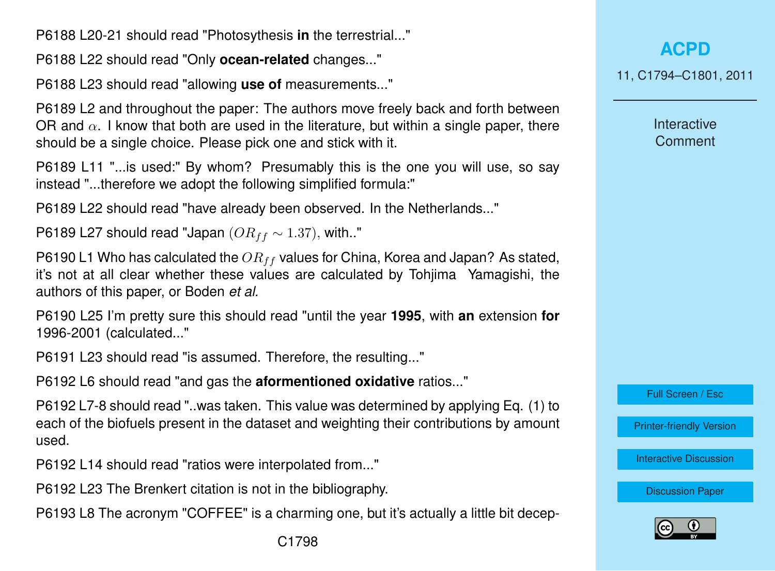P6188 L20-21 should read "Photosythesis **in** the terrestrial..."

P6188 L22 should read "Only **ocean-related** changes..."

P6188 L23 should read "allowing **use of** measurements..."

P6189 L2 and throughout the paper: The authors move freely back and forth between OR and  $\alpha$ . I know that both are used in the literature, but within a single paper, there should be a single choice. Please pick one and stick with it.

P6189 L11 "...is used:" By whom? Presumably this is the one you will use, so say instead "...therefore we adopt the following simplified formula:"

P6189 L22 should read "have already been observed. In the Netherlands..."

P6189 L27 should read "Japan ( $OR_{ff} \sim 1.37$ ), with.."

P6190 L1 Who has calculated the  $OR_{ff}$  values for China, Korea and Japan? As stated, it's not at all clear whether these values are calculated by Tohjima Yamagishi, the authors of this paper, or Boden *et al.*

P6190 L25 I'm pretty sure this should read "until the year **1995**, with **an** extension **for** 1996-2001 (calculated..."

P6191 L23 should read "is assumed. Therefore, the resulting..."

P6192 L6 should read "and gas the **aformentioned oxidative** ratios..."

P6192 L7-8 should read "..was taken. This value was determined by applying Eq. (1) to each of the biofuels present in the dataset and weighting their contributions by amount used.

P6192 L14 should read "ratios were interpolated from..."

P6192 L23 The Brenkert citation is not in the bibliography.

P6193 L8 The acronym "COFFEE" is a charming one, but it's actually a little bit decep-

11, C1794–C1801, 2011

**Interactive Comment** 

Full Screen / Esc

[Printer-friendly Version](http://www.atmos-chem-phys-discuss.net/11/C1794/2011/acpd-11-C1794-2011-print.pdf)

[Interactive Discussion](http://www.atmos-chem-phys-discuss.net/11/6187/2011/acpd-11-6187-2011-discussion.html)

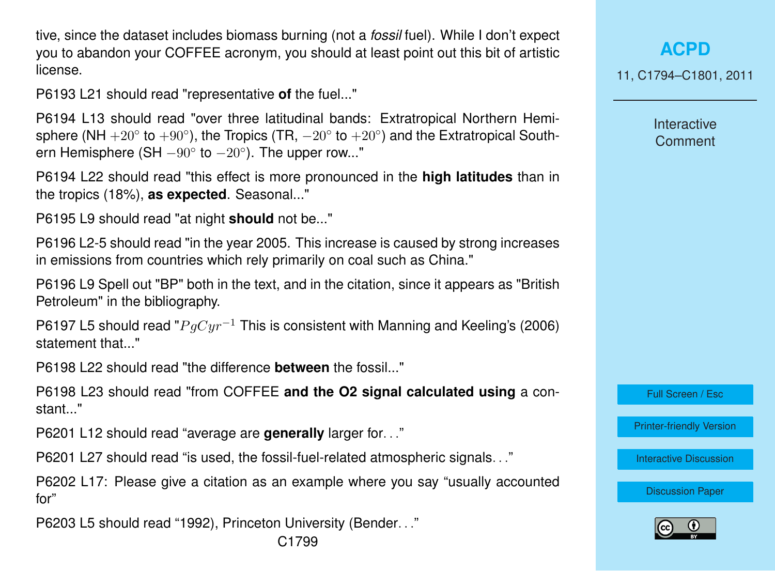tive, since the dataset includes biomass burning (not a *fossil* fuel). While I don't expect you to abandon your COFFEE acronym, you should at least point out this bit of artistic license.

P6193 L21 should read "representative **of** the fuel..."

P6194 L13 should read "over three latitudinal bands: Extratropical Northern Hemisphere (NH  $+20^{\circ}$  to  $+90^{\circ}$ ), the Tropics (TR,  $-20^{\circ}$  to  $+20^{\circ}$ ) and the Extratropical Southern Hemisphere (SH  $-90^{\circ}$  to  $-20^{\circ}$ ). The upper row..."

P6194 L22 should read "this effect is more pronounced in the **high latitudes** than in the tropics (18%), **as expected**. Seasonal..."

P6195 L9 should read "at night **should** not be..."

P6196 L2-5 should read "in the year 2005. This increase is caused by strong increases in emissions from countries which rely primarily on coal such as China."

P6196 L9 Spell out "BP" both in the text, and in the citation, since it appears as "British Petroleum" in the bibliography.

P6197 L5 should read " $PaCur^{-1}$  This is consistent with Manning and Keeling's (2006) statement that..."

P6198 L22 should read "the difference **between** the fossil..."

P6198 L23 should read "from COFFEE **and the O2 signal calculated using** a constant..."

P6201 L12 should read "average are **generally** larger for. . ."

P6201 L27 should read "is used, the fossil-fuel-related atmospheric signals. . ."

P6202 L17: Please give a citation as an example where you say "usually accounted for"

P6203 L5 should read "1992), Princeton University (Bender. . ."

## **[ACPD](http://www.atmos-chem-phys-discuss.net)**

11, C1794–C1801, 2011

Interactive **Comment** 

Full Screen / Esc

[Printer-friendly Version](http://www.atmos-chem-phys-discuss.net/11/C1794/2011/acpd-11-C1794-2011-print.pdf)

[Interactive Discussion](http://www.atmos-chem-phys-discuss.net/11/6187/2011/acpd-11-6187-2011-discussion.html)

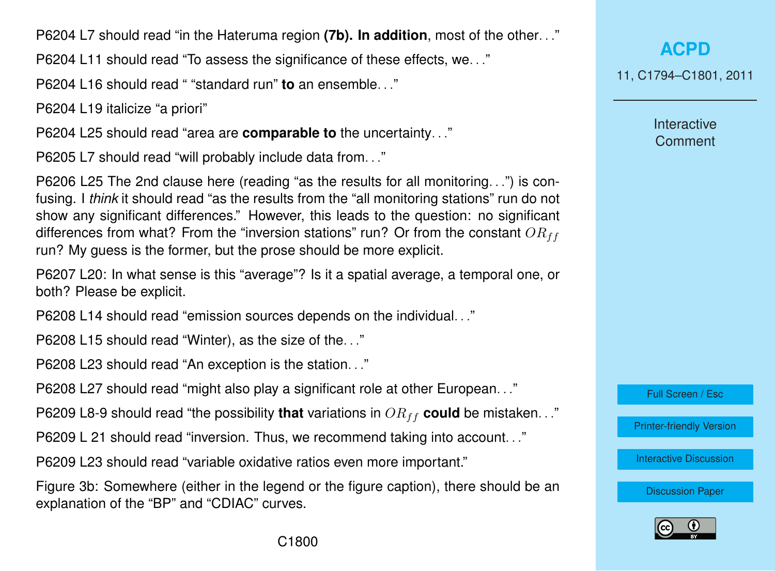P6204 L7 should read "in the Hateruma region **(7b). In addition**, most of the other. . ."

P6204 L11 should read "To assess the significance of these effects, we. . ."

P6204 L16 should read " "standard run" **to** an ensemble. . ."

P6204 L19 italicize "a priori"

P6204 L25 should read "area are **comparable to** the uncertainty. . ."

P6205 L7 should read "will probably include data from. . ."

P6206 L25 The 2nd clause here (reading "as the results for all monitoring. . .") is confusing. I *think* it should read "as the results from the "all monitoring stations" run do not show any significant differences." However, this leads to the question: no significant differences from what? From the "inversion stations" run? Or from the constant  $OR_{ff}$ run? My guess is the former, but the prose should be more explicit.

P6207 L20: In what sense is this "average"? Is it a spatial average, a temporal one, or both? Please be explicit.

P6208 L14 should read "emission sources depends on the individual. . ."

P6208 L15 should read "Winter), as the size of the. . ."

P6208 L23 should read "An exception is the station. . ."

P6208 L27 should read "might also play a significant role at other European. . ."

P6209 L8-9 should read "the possibility **that** variations in  $OR_{ff}$  could be mistaken..."

P6209 L 21 should read "inversion. Thus, we recommend taking into account. . ."

P6209 L23 should read "variable oxidative ratios even more important."

Figure 3b: Somewhere (either in the legend or the figure caption), there should be an explanation of the "BP" and "CDIAC" curves.

**[ACPD](http://www.atmos-chem-phys-discuss.net)**

11, C1794–C1801, 2011

Interactive **Comment** 

Full Screen / Esc

[Printer-friendly Version](http://www.atmos-chem-phys-discuss.net/11/C1794/2011/acpd-11-C1794-2011-print.pdf)

[Interactive Discussion](http://www.atmos-chem-phys-discuss.net/11/6187/2011/acpd-11-6187-2011-discussion.html)